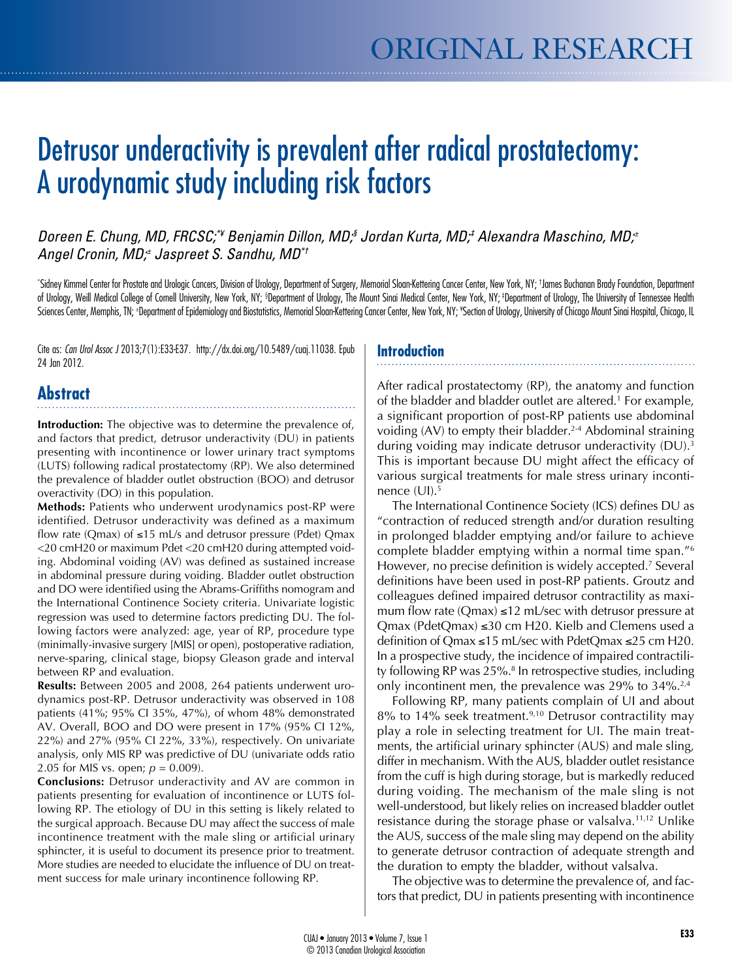# Detrusor underactivity is prevalent after radical prostatectomy: A urodynamic study including risk factors

*Doreen E. Chung, MD, FRCSC;\*¥ Benjamin Dillon, MD;§ Jordan Kurta, MD;‡ Alexandra Maschino, MD;± Angel Cronin, MD;± Jaspreet S. Sandhu, MD\*†*

\* Sidney Kimmel Center for Prostate and Urologic Cancers, Division of Urology, Department of Surgery, Memorial Sloan-Kettering Cancer Center, New York, NY; † James Buchanan Brady Foundation, Department of Urology, Weill Medical College of Cornell University, New York, NY; §Department of Urology, The Mount Sinai Medical Center, New York, NY; ‡Department of Urology, The University of Tennessee Health Sciences Center, Memphis, TN; ±Department of Epidemiology and Biostatistics, Memorial Sloan-Kettering Cancer Center, New York, NY; \*Section of Urology, University of Chicago Mount Sinai Hospital, Chicago, IL

Cite as: *Can Urol Assoc J* 2013;7(1):E33-E37. http://dx.doi.org/10.5489/cuaj.11038. Epub 24 Jan 2012.

# **Introduction**

# **Abstract**

**Introduction:** The objective was to determine the prevalence of, and factors that predict, detrusor underactivity (DU) in patients presenting with incontinence or lower urinary tract symptoms (LUTS) following radical prostatectomy (RP). We also determined the prevalence of bladder outlet obstruction (BOO) and detrusor overactivity (DO) in this population.

**Methods:** Patients who underwent urodynamics post-RP were identified. Detrusor underactivity was defined as a maximum flow rate (Qmax) of ≤15 mL/s and detrusor pressure (Pdet) Qmax <20 cmH20 or maximum Pdet <20 cmH20 during attempted voiding. Abdominal voiding (AV) was defined as sustained increase in abdominal pressure during voiding. Bladder outlet obstruction and DO were identified using the Abrams-Griffiths nomogram and the International Continence Society criteria. Univariate logistic regression was used to determine factors predicting DU. The following factors were analyzed: age, year of RP, procedure type (minimally-invasive surgery [MIS] or open), postoperative radiation, nerve-sparing, clinical stage, biopsy Gleason grade and interval between RP and evaluation.

**Results:** Between 2005 and 2008, 264 patients underwent urodynamics post-RP. Detrusor underactivity was observed in 108 patients (41%; 95% CI 35%, 47%), of whom 48% demonstrated AV. Overall, BOO and DO were present in 17% (95% CI 12%, 22%) and 27% (95% CI 22%, 33%), respectively. On univariate analysis, only MIS RP was predictive of DU (univariate odds ratio 2.05 for MIS vs. open; *p* = 0.009).

**Conclusions:** Detrusor underactivity and AV are common in patients presenting for evaluation of incontinence or LUTS following RP. The etiology of DU in this setting is likely related to the surgical approach. Because DU may affect the success of male incontinence treatment with the male sling or artificial urinary sphincter, it is useful to document its presence prior to treatment. More studies are needed to elucidate the influence of DU on treatment success for male urinary incontinence following RP.

After radical prostatectomy (RP), the anatomy and function of the bladder and bladder outlet are altered.<sup>1</sup> For example, a significant proportion of post-RP patients use abdominal voiding  $(AV)$  to empty their bladder.<sup>2-4</sup> Abdominal straining during voiding may indicate detrusor underactivity (DU).<sup>3</sup> This is important because DU might affect the efficacy of various surgical treatments for male stress urinary incontinence (UI).<sup>5</sup>

The International Continence Society (ICS) defines DU as "contraction of reduced strength and/or duration resulting in prolonged bladder emptying and/or failure to achieve complete bladder emptying within a normal time span."6 However, no precise definition is widely accepted.<sup>7</sup> Several definitions have been used in post-RP patients. Groutz and colleagues defined impaired detrusor contractility as maximum flow rate (Qmax)  $\leq$ 12 mL/sec with detrusor pressure at Qmax (PdetQmax) ≤30 cm H20. Kielb and Clemens used a definition of Qmax ≤15 mL/sec with PdetQmax ≤25 cm H20. In a prospective study, the incidence of impaired contractility following RP was 25%.<sup>8</sup> In retrospective studies, including only incontinent men, the prevalence was  $29\%$  to  $34\%$ .<sup>2,4</sup>

Following RP, many patients complain of UI and about  $8\%$  to 14% seek treatment.<sup>9,10</sup> Detrusor contractility may play a role in selecting treatment for UI. The main treatments, the artificial urinary sphincter (AUS) and male sling, differ in mechanism. With the AUS, bladder outlet resistance from the cuff is high during storage, but is markedly reduced during voiding. The mechanism of the male sling is not well-understood, but likely relies on increased bladder outlet resistance during the storage phase or valsalva.<sup>11,12</sup> Unlike the AUS, success of the male sling may depend on the ability to generate detrusor contraction of adequate strength and the duration to empty the bladder, without valsalva.

The objective was to determine the prevalence of, and factors that predict, DU in patients presenting with incontinence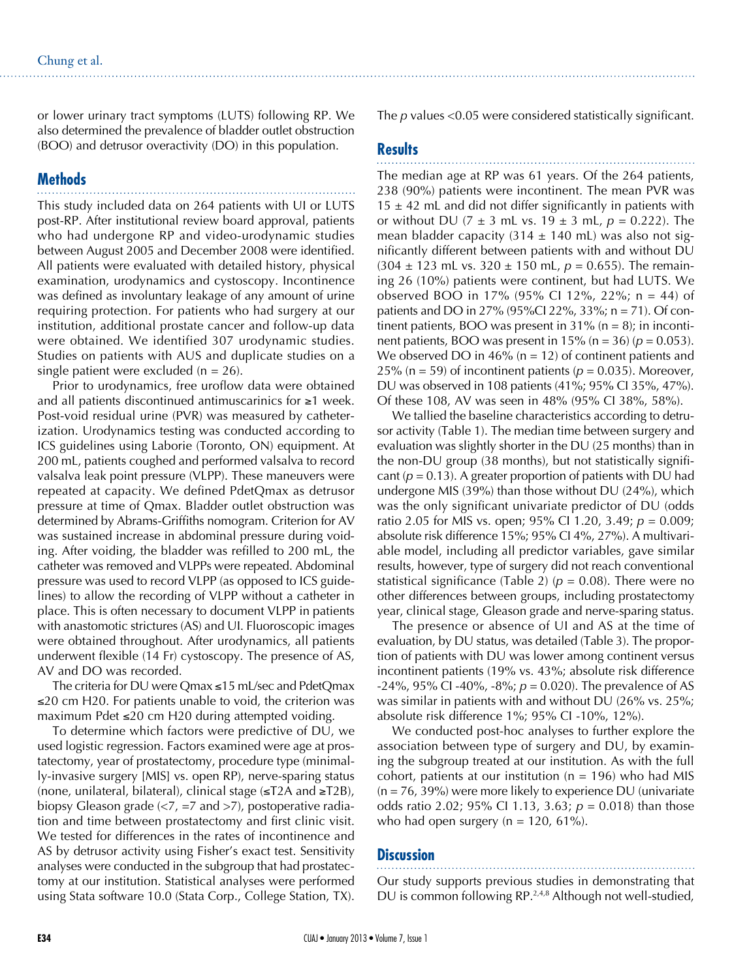or lower urinary tract symptoms (LUTS) following RP. We also determined the prevalence of bladder outlet obstruction (BOO) and detrusor overactivity (DO) in this population.

# **Methods**

This study included data on 264 patients with UI or LUTS post-RP. After institutional review board approval, patients who had undergone RP and video-urodynamic studies between August 2005 and December 2008 were identified. All patients were evaluated with detailed history, physical examination, urodynamics and cystoscopy. Incontinence was defined as involuntary leakage of any amount of urine requiring protection. For patients who had surgery at our institution, additional prostate cancer and follow-up data were obtained. We identified 307 urodynamic studies. Studies on patients with AUS and duplicate studies on a single patient were excluded  $(n = 26)$ .

Prior to urodynamics, free uroflow data were obtained and all patients discontinued antimuscarinics for ≥1 week. Post-void residual urine (PVR) was measured by catheterization. Urodynamics testing was conducted according to ICS guidelines using Laborie (Toronto, ON) equipment. At 200 mL, patients coughed and performed valsalva to record valsalva leak point pressure (VLPP). These maneuvers were repeated at capacity. We defined PdetQmax as detrusor pressure at time of Qmax. Bladder outlet obstruction was determined by Abrams-Griffiths nomogram. Criterion for AV was sustained increase in abdominal pressure during voiding. After voiding, the bladder was refilled to 200 mL, the catheter was removed and VLPPs were repeated. Abdominal pressure was used to record VLPP (as opposed to ICS guidelines) to allow the recording of VLPP without a catheter in place. This is often necessary to document VLPP in patients with anastomotic strictures (AS) and UI. Fluoroscopic images were obtained throughout. After urodynamics, all patients underwent flexible (14 Fr) cystoscopy. The presence of AS, AV and DO was recorded.

The criteria for DU were Qmax ≤15 mL/sec and PdetQmax ≤20 cm H20. For patients unable to void, the criterion was maximum Pdet ≤20 cm H20 during attempted voiding.

To determine which factors were predictive of DU, we used logistic regression. Factors examined were age at prostatectomy, year of prostatectomy, procedure type (minimally-invasive surgery [MIS] vs. open RP), nerve-sparing status (none, unilateral, bilateral), clinical stage (≤T2A and ≥T2B), biopsy Gleason grade (<7, =7 and >7), postoperative radiation and time between prostatectomy and first clinic visit. We tested for differences in the rates of incontinence and AS by detrusor activity using Fisher's exact test. Sensitivity analyses were conducted in the subgroup that had prostatectomy at our institution. Statistical analyses were performed using Stata software 10.0 (Stata Corp., College Station, TX).

The *p* values <0.05 were considered statistically significant.

## **Results**

The median age at RP was 61 years. Of the 264 patients, 238 (90%) patients were incontinent. The mean PVR was  $15 \pm 42$  mL and did not differ significantly in patients with or without DU ( $7 \pm 3$  mL vs.  $19 \pm 3$  mL,  $p = 0.222$ ). The mean bladder capacity  $(314 \pm 140 \text{ mL})$  was also not significantly different between patients with and without DU  $(304 \pm 123 \text{ mL vs. } 320 \pm 150 \text{ mL}, p = 0.655)$ . The remaining 26 (10%) patients were continent, but had LUTS. We observed BOO in 17% (95% CI 12%, 22%; n = 44) of patients and DO in 27% (95%CI 22%, 33%; n = 71). Of continent patients, BOO was present in  $31\%$  (n = 8); in incontinent patients, BOO was present in 15% ( $n = 36$ ) ( $p = 0.053$ ). We observed DO in  $46\%$  (n = 12) of continent patients and 25% ( $n = 59$ ) of incontinent patients ( $p = 0.035$ ). Moreover, DU was observed in 108 patients (41%; 95% CI 35%, 47%). Of these 108, AV was seen in 48% (95% CI 38%, 58%).

We tallied the baseline characteristics according to detrusor activity (Table 1). The median time between surgery and evaluation was slightly shorter in the DU (25 months) than in the non-DU group (38 months), but not statistically significant ( $p = 0.13$ ). A greater proportion of patients with DU had undergone MIS (39%) than those without DU (24%), which was the only significant univariate predictor of DU (odds ratio 2.05 for MIS vs. open; 95% CI 1.20, 3.49; *p* = 0.009; absolute risk difference 15%; 95% CI 4%, 27%). A multivariable model, including all predictor variables, gave similar results, however, type of surgery did not reach conventional statistical significance (Table 2) ( $p = 0.08$ ). There were no other differences between groups, including prostatectomy year, clinical stage, Gleason grade and nerve-sparing status.

The presence or absence of UI and AS at the time of evaluation, by DU status, was detailed (Table 3). The proportion of patients with DU was lower among continent versus incontinent patients (19% vs. 43%; absolute risk difference  $-24\%$ , 95% CI  $-40\%$ ,  $-8\%$ ;  $p = 0.020$ ). The prevalence of AS was similar in patients with and without DU (26% vs. 25%; absolute risk difference 1%; 95% CI -10%, 12%).

We conducted post-hoc analyses to further explore the association between type of surgery and DU, by examining the subgroup treated at our institution. As with the full cohort, patients at our institution ( $n = 196$ ) who had MIS  $(n = 76, 39%)$  were more likely to experience DU (univariate odds ratio 2.02; 95% CI 1.13, 3.63; *p* = 0.018) than those who had open surgery ( $n = 120, 61\%$ ).

#### **Discussion**

Our study supports previous studies in demonstrating that DU is common following RP.<sup>2,4,8</sup> Although not well-studied,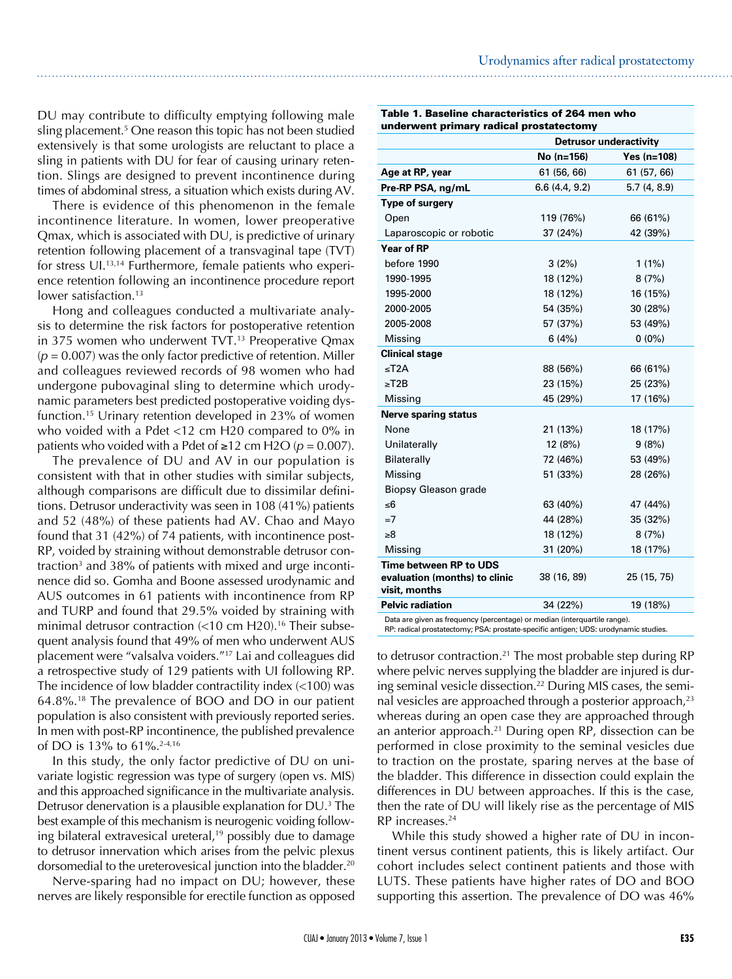DU may contribute to difficulty emptying following male sling placement.5 One reason this topic has not been studied extensively is that some urologists are reluctant to place a sling in patients with DU for fear of causing urinary retention. Slings are designed to prevent incontinence during times of abdominal stress, a situation which exists during AV.

There is evidence of this phenomenon in the female incontinence literature. In women, lower preoperative Qmax, which is associated with DU, is predictive of urinary retention following placement of a transvaginal tape (TVT) for stress UI.13,14 Furthermore, female patients who experience retention following an incontinence procedure report lower satisfaction.<sup>13</sup>

Hong and colleagues conducted a multivariate analysis to determine the risk factors for postoperative retention in 375 women who underwent TVT.<sup>13</sup> Preoperative Qmax  $(p = 0.007)$  was the only factor predictive of retention. Miller and colleagues reviewed records of 98 women who had undergone pubovaginal sling to determine which urodynamic parameters best predicted postoperative voiding dysfunction.15 Urinary retention developed in 23% of women who voided with a Pdet <12 cm H20 compared to 0% in patients who voided with a Pdet of  $≥12$  cm H2O ( $p = 0.007$ ).

The prevalence of DU and AV in our population is consistent with that in other studies with similar subjects, although comparisons are difficult due to dissimilar definitions. Detrusor underactivity was seen in 108 (41%) patients and 52 (48%) of these patients had AV. Chao and Mayo found that 31 (42%) of 74 patients, with incontinence post-RP, voided by straining without demonstrable detrusor contraction<sup>3</sup> and 38% of patients with mixed and urge incontinence did so. Gomha and Boone assessed urodynamic and AUS outcomes in 61 patients with incontinence from RP and TURP and found that 29.5% voided by straining with minimal detrusor contraction  $\left($  < 10 cm H20).<sup>16</sup> Their subsequent analysis found that 49% of men who underwent AUS placement were "valsalva voiders."17 Lai and colleagues did a retrospective study of 129 patients with UI following RP. The incidence of low bladder contractility index (<100) was 64.8%.18 The prevalence of BOO and DO in our patient population is also consistent with previously reported series. In men with post-RP incontinence, the published prevalence of DO is 13% to 61%.2-4,16

In this study, the only factor predictive of DU on univariate logistic regression was type of surgery (open vs. MIS) and this approached significance in the multivariate analysis. Detrusor denervation is a plausible explanation for DU.<sup>3</sup> The best example of this mechanism is neurogenic voiding following bilateral extravesical ureteral, $19$  possibly due to damage to detrusor innervation which arises from the pelvic plexus dorsomedial to the ureterovesical junction into the bladder.<sup>20</sup>

Nerve-sparing had no impact on DU; however, these nerves are likely responsible for erectile function as opposed

| Table 1. Baseline characteristics of 264 men who |  |  |  |
|--------------------------------------------------|--|--|--|
| underwent primary radical prostatectomy          |  |  |  |

|                                                                                                                       | <b>Detrusor underactivity</b> |             |  |  |  |
|-----------------------------------------------------------------------------------------------------------------------|-------------------------------|-------------|--|--|--|
|                                                                                                                       | No (n=156)                    | Yes (n=108) |  |  |  |
| Age at RP, year                                                                                                       | 61 (56, 66)                   | 61 (57, 66) |  |  |  |
| Pre-RP PSA, ng/mL                                                                                                     | 6.6(4.4, 9.2)                 | 5.7(4, 8.9) |  |  |  |
| Type of surgery                                                                                                       |                               |             |  |  |  |
| Open                                                                                                                  | 119 (76%)                     | 66 (61%)    |  |  |  |
| Laparoscopic or robotic                                                                                               | 37 (24%)                      | 42 (39%)    |  |  |  |
| <b>Year of RP</b>                                                                                                     |                               |             |  |  |  |
| before 1990                                                                                                           | 3(2%)                         | $1(1\%)$    |  |  |  |
| 1990-1995                                                                                                             | 18 (12%)                      | 8(7%)       |  |  |  |
| 1995-2000                                                                                                             | 18 (12%)                      | 16 (15%)    |  |  |  |
| 2000-2005                                                                                                             | 54 (35%)                      | 30 (28%)    |  |  |  |
| 2005-2008                                                                                                             | 57 (37%)                      | 53 (49%)    |  |  |  |
| Missing                                                                                                               | 6(4%)                         | $0(0\%)$    |  |  |  |
| <b>Clinical stage</b>                                                                                                 |                               |             |  |  |  |
| ≤T2A                                                                                                                  | 88 (56%)                      | 66 (61%)    |  |  |  |
| $\geq$ T2B                                                                                                            | 23 (15%)                      | 25 (23%)    |  |  |  |
| Missing                                                                                                               | 45 (29%)                      | 17 (16%)    |  |  |  |
| <b>Nerve sparing status</b>                                                                                           |                               |             |  |  |  |
| None                                                                                                                  | 21 (13%)                      | 18 (17%)    |  |  |  |
| Unilaterally                                                                                                          | 12 (8%)                       | 9(8%)       |  |  |  |
| Bilaterally                                                                                                           | 72 (46%)                      | 53 (49%)    |  |  |  |
| Missing                                                                                                               | 51 (33%)                      | 28 (26%)    |  |  |  |
| Biopsy Gleason grade                                                                                                  |                               |             |  |  |  |
| ≤6                                                                                                                    | 63 (40%)                      | 47 (44%)    |  |  |  |
| $=7$                                                                                                                  | 44 (28%)                      | 35 (32%)    |  |  |  |
| ≥8                                                                                                                    | 18 (12%)                      | 8(7%)       |  |  |  |
| Missing                                                                                                               | 31 (20%)                      | 18 (17%)    |  |  |  |
| Time between RP to UDS                                                                                                |                               |             |  |  |  |
| evaluation (months) to clinic                                                                                         | 38 (16, 89)                   | 25 (15, 75) |  |  |  |
|                                                                                                                       |                               |             |  |  |  |
|                                                                                                                       |                               |             |  |  |  |
| visit, months<br><b>Pelvic radiation</b><br>Data are given as frequency (percentage) or median (interquartile range). | 34 (22%)                      | 19 (18%)    |  |  |  |

RP: radical prostatectomy; PSA: prostate-specific antigen; UDS: urodynamic studies.

to detrusor contraction.<sup>21</sup> The most probable step during RP where pelvic nerves supplying the bladder are injured is during seminal vesicle dissection.<sup>22</sup> During MIS cases, the seminal vesicles are approached through a posterior approach, $2<sup>3</sup>$ whereas during an open case they are approached through an anterior approach.<sup>21</sup> During open RP, dissection can be performed in close proximity to the seminal vesicles due to traction on the prostate, sparing nerves at the base of the bladder. This difference in dissection could explain the differences in DU between approaches. If this is the case, then the rate of DU will likely rise as the percentage of MIS RP increases.24

While this study showed a higher rate of DU in incontinent versus continent patients, this is likely artifact. Our cohort includes select continent patients and those with LUTS. These patients have higher rates of DO and BOO supporting this assertion. The prevalence of DO was 46%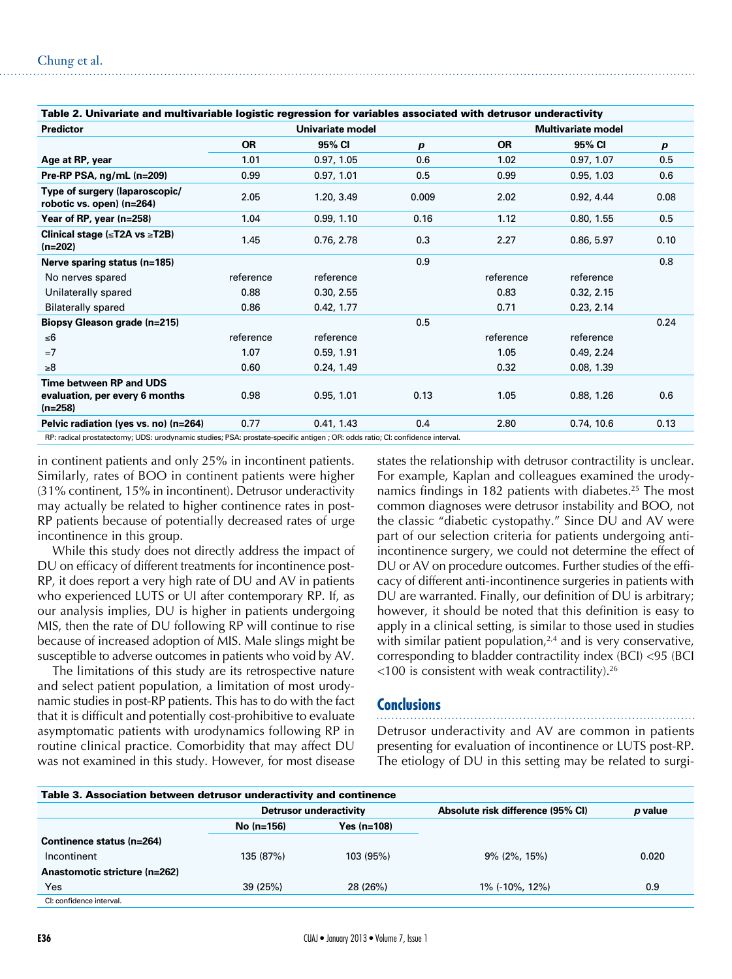| Table 2. Univariate and multivariable logistic regression for variables associated with detrusor underactivity |                  |            |                  |                           |            |      |  |  |
|----------------------------------------------------------------------------------------------------------------|------------------|------------|------------------|---------------------------|------------|------|--|--|
| <b>Predictor</b>                                                                                               | Univariate model |            |                  | <b>Multivariate model</b> |            |      |  |  |
|                                                                                                                | <b>OR</b>        | 95% CI     | $\boldsymbol{p}$ | <b>OR</b>                 | 95% CI     | p    |  |  |
| Age at RP, year                                                                                                | 1.01             | 0.97, 1.05 | 0.6              | 1.02                      | 0.97, 1.07 | 0.5  |  |  |
| Pre-RP PSA, ng/mL (n=209)                                                                                      | 0.99             | 0.97, 1.01 | 0.5              | 0.99                      | 0.95, 1.03 | 0.6  |  |  |
| Type of surgery (laparoscopic/<br>robotic vs. open) (n=264)                                                    | 2.05             | 1.20, 3.49 | 0.009            | 2.02                      | 0.92, 4.44 | 0.08 |  |  |
| Year of RP, year (n=258)                                                                                       | 1.04             | 0.99, 1.10 | 0.16             | 1.12                      | 0.80, 1.55 | 0.5  |  |  |
| Clinical stage ( $\leq$ T2A vs $\geq$ T2B)<br>$(n=202)$                                                        | 1.45             | 0.76, 2.78 | 0.3              | 2.27                      | 0.86, 5.97 | 0.10 |  |  |
| Nerve sparing status (n=185)                                                                                   |                  |            | 0.9              |                           |            | 0.8  |  |  |
| No nerves spared                                                                                               | reference        | reference  |                  | reference                 | reference  |      |  |  |
| Unilaterally spared                                                                                            | 0.88             | 0.30, 2.55 |                  | 0.83                      | 0.32, 2.15 |      |  |  |
| <b>Bilaterally spared</b>                                                                                      | 0.86             | 0.42, 1.77 |                  | 0.71                      | 0.23, 2.14 |      |  |  |
| <b>Biopsy Gleason grade (n=215)</b>                                                                            |                  |            | 0.5              |                           |            | 0.24 |  |  |
| ≤6                                                                                                             | reference        | reference  |                  | reference                 | reference  |      |  |  |
| $=7$                                                                                                           | 1.07             | 0.59, 1.91 |                  | 1.05                      | 0.49, 2.24 |      |  |  |
| $\geq 8$                                                                                                       | 0.60             | 0.24, 1.49 |                  | 0.32                      | 0.08, 1.39 |      |  |  |
| Time between RP and UDS<br>evaluation, per every 6 months<br>$(n=258)$                                         | 0.98             | 0.95, 1.01 | 0.13             | 1.05                      | 0.88, 1.26 | 0.6  |  |  |
| Pelvic radiation (yes vs. no) (n=264)                                                                          | 0.77             | 0.41, 1.43 | 0.4              | 2.80                      | 0.74, 10.6 | 0.13 |  |  |
|                                                                                                                |                  |            |                  |                           |            |      |  |  |

RP: radical prostatectomy; UDS: urodynamic studies; PSA: prostate-specific antigen ; OR: odds ratio; CI: confidence interval.

in continent patients and only 25% in incontinent patients. Similarly, rates of BOO in continent patients were higher (31% continent, 15% in incontinent). Detrusor underactivity may actually be related to higher continence rates in post-RP patients because of potentially decreased rates of urge incontinence in this group.

While this study does not directly address the impact of DU on efficacy of different treatments for incontinence post-RP, it does report a very high rate of DU and AV in patients who experienced LUTS or UI after contemporary RP. If, as our analysis implies, DU is higher in patients undergoing MIS, then the rate of DU following RP will continue to rise because of increased adoption of MIS. Male slings might be susceptible to adverse outcomes in patients who void by AV.

The limitations of this study are its retrospective nature and select patient population, a limitation of most urodynamic studies in post-RP patients. This has to do with the fact that it is difficult and potentially cost-prohibitive to evaluate asymptomatic patients with urodynamics following RP in routine clinical practice. Comorbidity that may affect DU was not examined in this study. However, for most disease

states the relationship with detrusor contractility is unclear. For example, Kaplan and colleagues examined the urodynamics findings in 182 patients with diabetes.<sup>25</sup> The most common diagnoses were detrusor instability and BOO, not the classic "diabetic cystopathy." Since DU and AV were part of our selection criteria for patients undergoing antiincontinence surgery, we could not determine the effect of DU or AV on procedure outcomes. Further studies of the efficacy of different anti-incontinence surgeries in patients with DU are warranted. Finally, our definition of DU is arbitrary; however, it should be noted that this definition is easy to apply in a clinical setting, is similar to those used in studies with similar patient population, $2,4$  and is very conservative, corresponding to bladder contractility index (BCI) <95 (BCI  $<$ 100 is consistent with weak contractility).<sup>26</sup>

#### **Conclusions**

Detrusor underactivity and AV are common in patients presenting for evaluation of incontinence or LUTS post-RP. The etiology of DU in this setting may be related to surgi-

| Table 3. Association between detrusor underactivity and continence |                        |               |                                   |         |  |  |  |  |
|--------------------------------------------------------------------|------------------------|---------------|-----------------------------------|---------|--|--|--|--|
|                                                                    | Detrusor underactivity |               | Absolute risk difference (95% CI) | p value |  |  |  |  |
|                                                                    | $No (n=156)$           | Yes $(n=108)$ |                                   |         |  |  |  |  |
| Continence status (n=264)                                          |                        |               |                                   |         |  |  |  |  |
| Incontinent                                                        | 135 (87%)              | 103 (95%)     | $9\%$ (2%, 15%)                   | 0.020   |  |  |  |  |
| Anastomotic stricture (n=262)                                      |                        |               |                                   |         |  |  |  |  |
| Yes                                                                | 39 (25%)               | 28 (26%)      | 1% (-10%, 12%)                    | 0.9     |  |  |  |  |
| CI: confidence interval.                                           |                        |               |                                   |         |  |  |  |  |